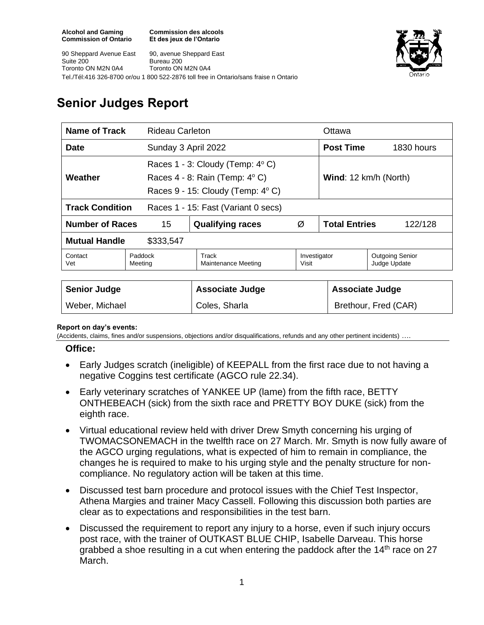**Commission des alcools Et des jeux de l'Ontario**

90 Sheppard Avenue East Suite 200 Toronto ON M2N 0A4 90, avenue Sheppard East Bureau 200 Toronto ON M2N 0A4 Tel./Tél:416 326-8700 or/ou 1 800 522-2876 toll free in Ontario/sans fraise n Ontario



# **Senior Judges Report**

| <b>Name of Track</b><br>Rideau Carleton |                    |                                                                                                                   |       | Ottawa                                                 |                 |  |
|-----------------------------------------|--------------------|-------------------------------------------------------------------------------------------------------------------|-------|--------------------------------------------------------|-----------------|--|
| <b>Date</b>                             |                    | Sunday 3 April 2022                                                                                               |       | <b>Post Time</b>                                       | 1830 hours      |  |
| Weather                                 |                    | Races 1 - 3: Cloudy (Temp: 4°C)<br>Races $4 - 8$ : Rain (Temp: $4^{\circ}$ C)<br>Races 9 - 15: Cloudy (Temp: 4°C) |       | Wind: 12 km/h (North)                                  |                 |  |
| <b>Track Condition</b>                  |                    | Races 1 - 15: Fast (Variant 0 secs)                                                                               |       |                                                        |                 |  |
| <b>Number of Races</b>                  | 15                 | <b>Qualifying races</b>                                                                                           | Ø     | <b>Total Entries</b>                                   | 122/128         |  |
| <b>Mutual Handle</b>                    | \$333,547          |                                                                                                                   |       |                                                        |                 |  |
| Contact<br>Vet                          | Paddock<br>Meeting | Track<br>Maintenance Meeting                                                                                      | Visit | <b>Outgoing Senior</b><br>Investigator<br>Judge Update |                 |  |
| Sanior Iudaa                            |                    | Accoriato ludgo                                                                                                   |       |                                                        | Accoriata ludga |  |

| <b>Senior Judge</b> | <b>Associate Judge</b> | <b>Associate Judge</b> |
|---------------------|------------------------|------------------------|
| Weber, Michael      | Coles, Sharla          | Brethour, Fred (CAR)   |

#### **Report on day's events:**

(Accidents, claims, fines and/or suspensions, objections and/or disqualifications, refunds and any other pertinent incidents) ….

#### **Office:**

- Early Judges scratch (ineligible) of KEEPALL from the first race due to not having a negative Coggins test certificate (AGCO rule 22.34).
- Early veterinary scratches of YANKEE UP (lame) from the fifth race, BETTY ONTHEBEACH (sick) from the sixth race and PRETTY BOY DUKE (sick) from the eighth race.
- Virtual educational review held with driver Drew Smyth concerning his urging of TWOMACSONEMACH in the twelfth race on 27 March. Mr. Smyth is now fully aware of the AGCO urging regulations, what is expected of him to remain in compliance, the changes he is required to make to his urging style and the penalty structure for noncompliance. No regulatory action will be taken at this time.
- Discussed test barn procedure and protocol issues with the Chief Test Inspector, Athena Margies and trainer Macy Cassell. Following this discussion both parties are clear as to expectations and responsibilities in the test barn.
- Discussed the requirement to report any injury to a horse, even if such injury occurs post race, with the trainer of OUTKAST BLUE CHIP, Isabelle Darveau. This horse grabbed a shoe resulting in a cut when entering the paddock after the 14<sup>th</sup> race on 27 March.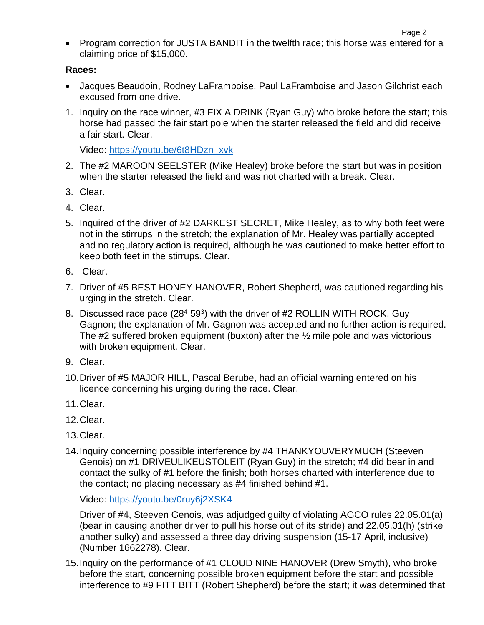• Program correction for JUSTA BANDIT in the twelfth race; this horse was entered for a claiming price of \$15,000.

### **Races:**

- Jacques Beaudoin, Rodney LaFramboise, Paul LaFramboise and Jason Gilchrist each excused from one drive.
- 1. Inquiry on the race winner, #3 FIX A DRINK (Ryan Guy) who broke before the start; this horse had passed the fair start pole when the starter released the field and did receive a fair start. Clear.

Video: [https://youtu.be/6t8HDzn\\_xvk](https://youtu.be/6t8HDzn_xvk)

- 2. The #2 MAROON SEELSTER (Mike Healey) broke before the start but was in position when the starter released the field and was not charted with a break. Clear.
- 3. Clear.
- 4. Clear.
- 5. Inquired of the driver of #2 DARKEST SECRET, Mike Healey, as to why both feet were not in the stirrups in the stretch; the explanation of Mr. Healey was partially accepted and no regulatory action is required, although he was cautioned to make better effort to keep both feet in the stirrups. Clear.
- 6. Clear.
- 7. Driver of #5 BEST HONEY HANOVER, Robert Shepherd, was cautioned regarding his urging in the stretch. Clear.
- 8. Discussed race pace (28<sup>4</sup> 59<sup>3</sup>) with the driver of #2 ROLLIN WITH ROCK, Guy Gagnon; the explanation of Mr. Gagnon was accepted and no further action is required. The #2 suffered broken equipment (buxton) after the ½ mile pole and was victorious with broken equipment. Clear.
- 9. Clear.
- 10.Driver of #5 MAJOR HILL, Pascal Berube, had an official warning entered on his licence concerning his urging during the race. Clear.
- 11.Clear.
- 12.Clear.
- 13.Clear.
- 14.Inquiry concerning possible interference by #4 THANKYOUVERYMUCH (Steeven Genois) on #1 DRIVEULIKEUSTOLEIT (Ryan Guy) in the stretch; #4 did bear in and contact the sulky of #1 before the finish; both horses charted with interference due to the contact; no placing necessary as #4 finished behind #1.

Video:<https://youtu.be/0ruy6j2XSK4>

Driver of #4, Steeven Genois, was adjudged guilty of violating AGCO rules 22.05.01(a) (bear in causing another driver to pull his horse out of its stride) and 22.05.01(h) (strike another sulky) and assessed a three day driving suspension (15-17 April, inclusive) (Number 1662278). Clear.

15.Inquiry on the performance of #1 CLOUD NINE HANOVER (Drew Smyth), who broke before the start, concerning possible broken equipment before the start and possible interference to #9 FITT BITT (Robert Shepherd) before the start; it was determined that